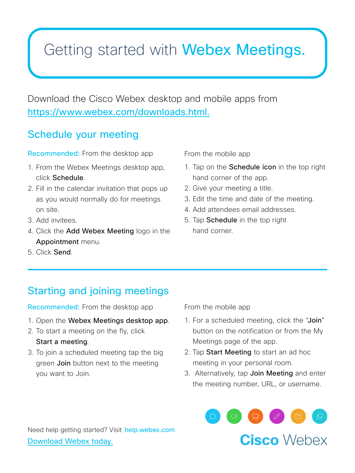## Getting started with Webex Meetings.

Download the Cisco Webex desktop and mobile apps from https://www.webex.com/downloads.html.

### Schedule your meeting

Recommended: From the desktop app

- 1. From the Webex Meetings desktop app, click Schedule.
- 2. Fill in the calendar invitation that pops up as you would normally do for meetings on site.
- 3. Add invitees.
- 4. Click the Add Webex Meeting logo in the Appointment menu.

From the mobile app

- 1. Tap on the **Schedule icon** in the top right hand corner of the app.
- 2. Give your meeting a title.
- 3. Edit the time and date of the meeting.
- 4. Add attendees email addresses.
- 5. Tap Schedule in the top right hand corner.

5. Click Send.

### Starting and joining meetings

Recommended: From the desktop app

- 1. Open the Webex Meetings desktop app.
- 2. To start a meeting on the fly, click

#### Start a meeting.

3. To join a scheduled meeting tap the big green **Join** button next to the meeting you want to Join.

From the mobile app

- 1. For a scheduled meeting, click the "Join" button on the notification or from the My Meetings page of the app.
- 2. Tap Start Meeting to start an ad hoc meeting in your personal room.
- 3. Alternatively, tap Join Meeting and enter the meeting number, URL, or username.





Need help getting started? Visit help.webex.com Download Webex today.